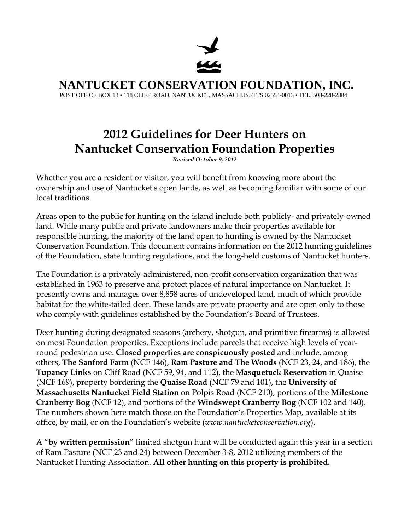

**NANTUCKET CONSERVATION FOUNDATION, INC.** 

POST OFFICE BOX 13 • 118 CLIFF ROAD, NANTUCKET, MASSACHUSETTS 02554-0013 • TEL. 508-228-2884

## **2012 Guidelines for Deer Hunters on Nantucket Conservation Foundation Properties**

*Revised October 9, 2012*

Whether you are a resident or visitor, you will benefit from knowing more about the ownership and use of Nantucket's open lands, as well as becoming familiar with some of our local traditions.

Areas open to the public for hunting on the island include both publicly- and privately-owned land. While many public and private landowners make their properties available for responsible hunting, the majority of the land open to hunting is owned by the Nantucket Conservation Foundation. This document contains information on the 2012 hunting guidelines of the Foundation, state hunting regulations, and the long-held customs of Nantucket hunters.

The Foundation is a privately-administered, non-profit conservation organization that was established in 1963 to preserve and protect places of natural importance on Nantucket. It presently owns and manages over 8,858 acres of undeveloped land, much of which provide habitat for the white-tailed deer. These lands are private property and are open only to those who comply with guidelines established by the Foundation's Board of Trustees.

Deer hunting during designated seasons (archery, shotgun, and primitive firearms) is allowed on most Foundation properties. Exceptions include parcels that receive high levels of yearround pedestrian use. **Closed properties are conspicuously posted** and include, among others, **The Sanford Farm** (NCF 146), **Ram Pasture and The Woods** (NCF 23, 24, and 186), the **Tupancy Links** on Cliff Road (NCF 59, 94, and 112), the **Masquetuck Reservation** in Quaise (NCF 169), property bordering the **Quaise Road** (NCF 79 and 101), the **University of Massachusetts Nantucket Field Station** on Polpis Road (NCF 210), portions of the **Milestone Cranberry Bog** (NCF 12), and portions of the **Windswept Cranberry Bog** (NCF 102 and 140). The numbers shown here match those on the Foundation's Properties Map, available at its office, by mail, or on the Foundation's website (*www.nantucketconservation.org*).

A "**by written permission**" limited shotgun hunt will be conducted again this year in a section of Ram Pasture (NCF 23 and 24) between December 3-8, 2012 utilizing members of the Nantucket Hunting Association. **All other hunting on this property is prohibited.**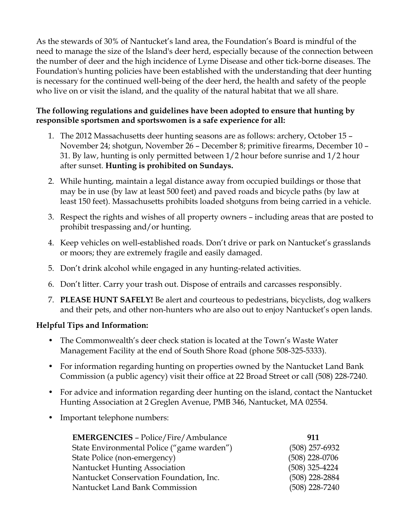As the stewards of 30% of Nantucket's land area, the Foundation's Board is mindful of the need to manage the size of the Island's deer herd, especially because of the connection between the number of deer and the high incidence of Lyme Disease and other tick-borne diseases. The Foundation's hunting policies have been established with the understanding that deer hunting is necessary for the continued well-being of the deer herd, the health and safety of the people who live on or visit the island, and the quality of the natural habitat that we all share.

## **The following regulations and guidelines have been adopted to ensure that hunting by responsible sportsmen and sportswomen is a safe experience for all:**

- 1. The 2012 Massachusetts deer hunting seasons are as follows: archery, October 15 November 24; shotgun, November 26 – December 8; primitive firearms, December 10 – 31. By law, hunting is only permitted between 1/2 hour before sunrise and 1/2 hour after sunset. **Hunting is prohibited on Sundays.**
- 2. While hunting, maintain a legal distance away from occupied buildings or those that may be in use (by law at least 500 feet) and paved roads and bicycle paths (by law at least 150 feet). Massachusetts prohibits loaded shotguns from being carried in a vehicle.
- 3. Respect the rights and wishes of all property owners including areas that are posted to prohibit trespassing and/or hunting.
- 4. Keep vehicles on well-established roads. Don't drive or park on Nantucket's grasslands or moors; they are extremely fragile and easily damaged.
- 5. Don't drink alcohol while engaged in any hunting-related activities.
- 6. Don't litter. Carry your trash out. Dispose of entrails and carcasses responsibly.
- 7. **PLEASE HUNT SAFELY!** Be alert and courteous to pedestrians, bicyclists, dog walkers and their pets, and other non-hunters who are also out to enjoy Nantucket's open lands.

## **Helpful Tips and Information:**

- The Commonwealth's deer check station is located at the Town's Waste Water Management Facility at the end of South Shore Road (phone 508-325-5333).
- For information regarding hunting on properties owned by the Nantucket Land Bank Commission (a public agency) visit their office at 22 Broad Street or call (508) 228-7240.
- For advice and information regarding deer hunting on the island, contact the Nantucket Hunting Association at 2 Greglen Avenue, PMB 346, Nantucket, MA 02554.
- Important telephone numbers:

| 911              |
|------------------|
| $(508)$ 257-6932 |
| $(508)$ 228-0706 |
| $(508)$ 325-4224 |
| $(508)$ 228-2884 |
| $(508)$ 228-7240 |
|                  |